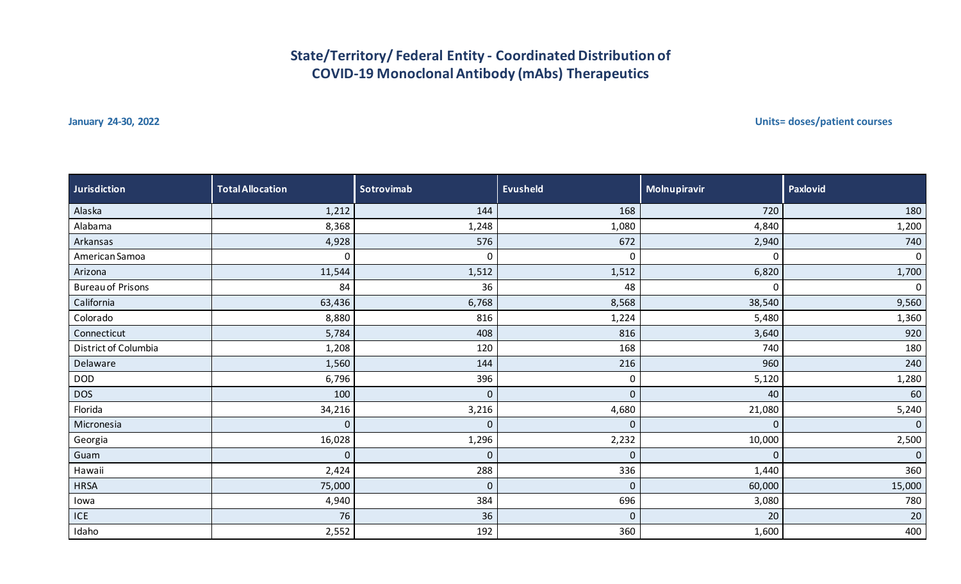## **State/Territory/ Federal Entity - Coordinated Distribution of COVID-19 Monoclonal Antibody (mAbs) Therapeutics**

**January 24-30, 2022 Units= doses/patient courses**

| <b>Jurisdiction</b>      | <b>Total Allocation</b> | Sotrovimab  | <b>Evusheld</b> | Molnupiravir | Paxlovid       |
|--------------------------|-------------------------|-------------|-----------------|--------------|----------------|
| Alaska                   | 1,212                   | 144         | 168             | 720          | 180            |
| Alabama                  | 8,368                   | 1,248       | 1,080           | 4,840        | 1,200          |
| Arkansas                 | 4,928                   | 576         | 672             | 2,940        | 740            |
| American Samoa           | $\mathbf 0$             | $\mathbf 0$ | $\pmb{0}$       | $\Omega$     | $\mathbf 0$    |
| Arizona                  | 11,544                  | 1,512       | 1,512           | 6,820        | 1,700          |
| <b>Bureau of Prisons</b> | 84                      | 36          | 48              | 0            | $\mathbf 0$    |
| California               | 63,436                  | 6,768       | 8,568           | 38,540       | 9,560          |
| Colorado                 | 8,880                   | 816         | 1,224           | 5,480        | 1,360          |
| Connecticut              | 5,784                   | 408         | 816             | 3,640        | 920            |
| District of Columbia     | 1,208                   | 120         | 168             | 740          | 180            |
| Delaware                 | 1,560                   | 144         | 216             | 960          | 240            |
| <b>DOD</b>               | 6,796                   | 396         | 0               | 5,120        | 1,280          |
| <b>DOS</b>               | 100                     | $\mathbf 0$ | $\mathbf{0}$    | 40           | 60             |
| Florida                  | 34,216                  | 3,216       | 4,680           | 21,080       | 5,240          |
| Micronesia               | $\pmb{0}$               | $\mathbf 0$ | $\pmb{0}$       | $\Omega$     | $\overline{0}$ |
| Georgia                  | 16,028                  | 1,296       | 2,232           | 10,000       | 2,500          |
| Guam                     | $\mathbf 0$             | 0           | $\mathbf 0$     | $\mathbf 0$  | $\overline{0}$ |
| Hawaii                   | 2,424                   | 288         | 336             | 1,440        | 360            |
| <b>HRSA</b>              | 75,000                  | $\mathbf 0$ | $\pmb{0}$       | 60,000       | 15,000         |
| lowa                     | 4,940                   | 384         | 696             | 3,080        | 780            |
| ICE                      | 76                      | 36          | $\pmb{0}$       | 20           | 20             |
| Idaho                    | 2,552                   | 192         | 360             | 1,600        | 400            |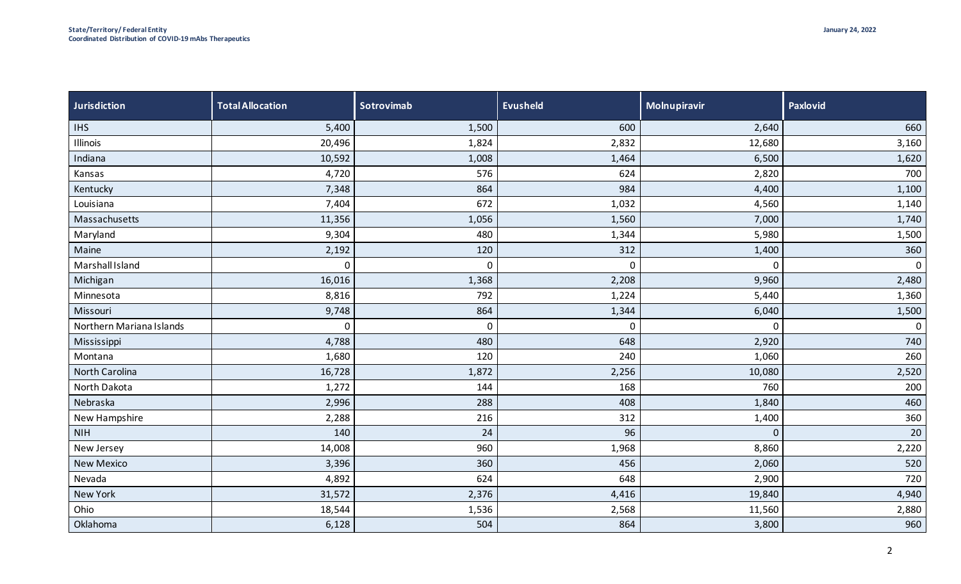| <b>Jurisdiction</b>      | <b>Total Allocation</b> | Sotrovimab  | <b>Evusheld</b> | Molnupiravir | <b>Paxlovid</b> |
|--------------------------|-------------------------|-------------|-----------------|--------------|-----------------|
| <b>IHS</b>               | 5,400                   | 1,500       | 600             | 2,640        | 660             |
| Illinois                 | 20,496                  | 1,824       | 2,832           | 12,680       | 3,160           |
| Indiana                  | 10,592                  | 1,008       | 1,464           | 6,500        | 1,620           |
| Kansas                   | 4,720                   | 576         | 624             | 2,820        | 700             |
| Kentucky                 | 7,348                   | 864         | 984             | 4,400        | 1,100           |
| Louisiana                | 7,404                   | 672         | 1,032           | 4,560        | 1,140           |
| Massachusetts            | 11,356                  | 1,056       | 1,560           | 7,000        | 1,740           |
| Maryland                 | 9,304                   | 480         | 1,344           | 5,980        | 1,500           |
| Maine                    | 2,192                   | 120         | 312             | 1,400        | 360             |
| Marshall Island          | $\mathbf 0$             | $\mathbf 0$ | 0               | $\Omega$     | $\mathbf 0$     |
| Michigan                 | 16,016                  | 1,368       | 2,208           | 9,960        | 2,480           |
| Minnesota                | 8,816                   | 792         | 1,224           | 5,440        | 1,360           |
| Missouri                 | 9,748                   | 864         | 1,344           | 6,040        | 1,500           |
| Northern Mariana Islands | $\mathbf 0$             | $\mathbf 0$ | 0               | $\Omega$     | $\mathbf 0$     |
| Mississippi              | 4,788                   | 480         | 648             | 2,920        | 740             |
| Montana                  | 1,680                   | 120         | 240             | 1,060        | 260             |
| North Carolina           | 16,728                  | 1,872       | 2,256           | 10,080       | 2,520           |
| North Dakota             | 1,272                   | 144         | 168             | 760          | 200             |
| Nebraska                 | 2,996                   | 288         | 408             | 1,840        | 460             |
| New Hampshire            | 2,288                   | 216         | 312             | 1,400        | 360             |
| <b>NIH</b>               | 140                     | 24          | 96              | $\Omega$     | 20              |
| New Jersey               | 14,008                  | 960         | 1,968           | 8,860        | 2,220           |
| <b>New Mexico</b>        | 3,396                   | 360         | 456             | 2,060        | 520             |
| Nevada                   | 4,892                   | 624         | 648             | 2,900        | 720             |
| New York                 | 31,572                  | 2,376       | 4,416           | 19,840       | 4,940           |
| Ohio                     | 18,544                  | 1,536       | 2,568           | 11,560       | 2,880           |
| Oklahoma                 | 6,128                   | 504         | 864             | 3,800        | 960             |